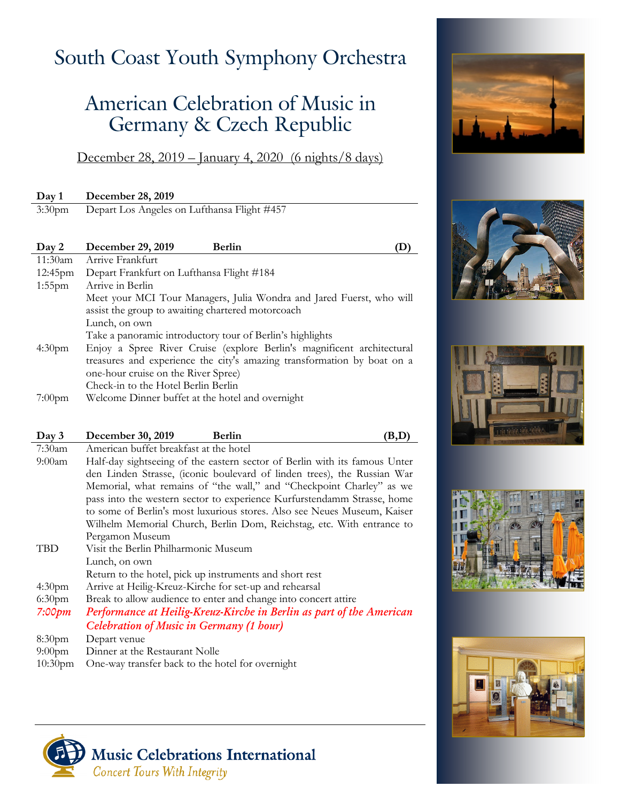## South Coast Youth Symphony Orchestra

## American Celebration of Music in Germany & Czech Republic

December 28, 2019 – January 4, 2020 (6 nights/8 days)

| Day 1              | December 28, 2019                                                       |
|--------------------|-------------------------------------------------------------------------|
| $3:30$ pm          | Depart Los Angeles on Lufthansa Flight #457                             |
|                    |                                                                         |
| Day 2              | December 29, 2019<br><b>Berlin</b>                                      |
| 11:30am            | Arrive Frankfurt                                                        |
| $12:45$ pm         | Depart Frankfurt on Lufthansa Flight #184                               |
| $1:55$ pm          | Arrive in Berlin                                                        |
|                    | Meet your MCI Tour Managers, Julia Wondra and Jared Fuerst, who will    |
|                    | assist the group to awaiting chartered motorcoach                       |
|                    | Lunch, on own                                                           |
|                    | Take a panoramic introductory tour of Berlin's highlights               |
| 4:30 <sub>pm</sub> | Enjoy a Spree River Cruise (explore Berlin's magnificent architectural  |
|                    | treasures and experience the city's amazing transformation by boat on a |
|                    | one-hour cruise on the River Spree)                                     |
|                    | Check-in to the Hotel Berlin Berlin                                     |
| $7:00$ pm          | Welcome Dinner buffet at the hotel and overnight                        |

| Day 3              | December 30, 2019<br><b>Berlin</b><br>B, I                                 |
|--------------------|----------------------------------------------------------------------------|
| $7:30$ am          | American buffet breakfast at the hotel                                     |
| $9:00$ am          | Half-day sightseeing of the eastern sector of Berlin with its famous Unter |
|                    | den Linden Strasse, (iconic boulevard of linden trees), the Russian War    |
|                    | Memorial, what remains of "the wall," and "Checkpoint Charley" as we       |
|                    | pass into the western sector to experience Kurfurstendamm Strasse, home    |
|                    | to some of Berlin's most luxurious stores. Also see Neues Museum, Kaiser   |
|                    | Wilhelm Memorial Church, Berlin Dom, Reichstag, etc. With entrance to      |
|                    | Pergamon Museum                                                            |
| TBD                | Visit the Berlin Philharmonic Museum                                       |
|                    | Lunch, on own                                                              |
|                    | Return to the hotel, pick up instruments and short rest                    |
| 4:30 <sub>pm</sub> | Arrive at Heilig-Kreuz-Kirche for set-up and rehearsal                     |
| 6:30 <sub>pm</sub> | Break to allow audience to enter and change into concert attire            |
| 7:00pm             | Performance at Heilig-Kreuz-Kirche in Berlin as part of the American       |
|                    | Celebration of Music in Germany (1 hour)                                   |
| 8:30 <sub>pm</sub> | Depart venue                                                               |
| $9:00$ pm          | Dinner at the Restaurant Nolle                                             |

10:30pm One-way transfer back to the hotel for overnight











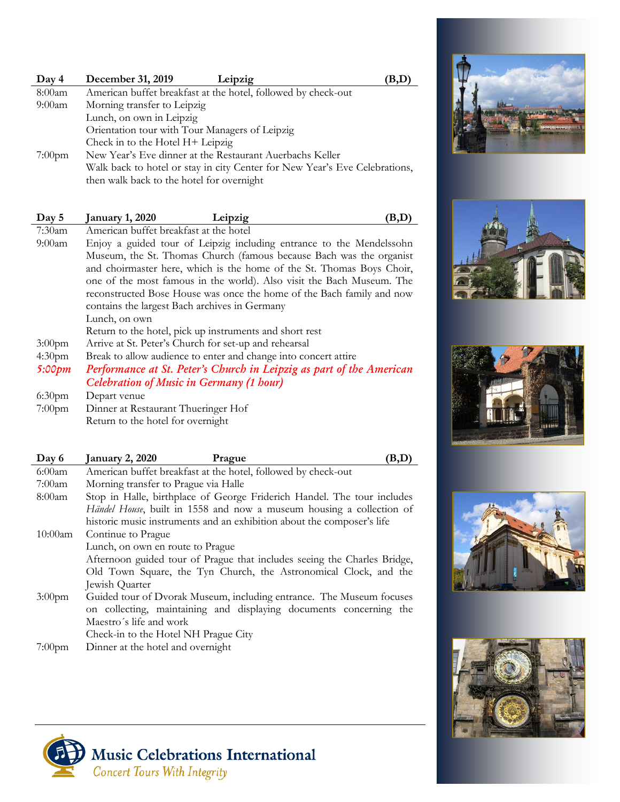| Day 4     | December 31, 2019<br>Leipzig                                               | B,D |
|-----------|----------------------------------------------------------------------------|-----|
| 8:00am    | American buffet breakfast at the hotel, followed by check-out              |     |
| 9:00am    | Morning transfer to Leipzig                                                |     |
|           | Lunch, on own in Leipzig                                                   |     |
|           | Orientation tour with Tour Managers of Leipzig                             |     |
|           | Check in to the Hotel H+ Leipzig                                           |     |
| $7:00$ pm | New Year's Eve dinner at the Restaurant Auerbachs Keller                   |     |
|           | Walk back to hotel or stay in city Center for New Year's Eve Celebrations, |     |
|           | then walk back to the hotel for overnight                                  |     |

| Day 5              | <b>January 1, 2020</b><br>Leipzig<br>Έ,                               |
|--------------------|-----------------------------------------------------------------------|
| $7:30$ am          | American buffet breakfast at the hotel                                |
| 9:00am             | Enjoy a guided tour of Leipzig including entrance to the Mendelssohn  |
|                    | Museum, the St. Thomas Church (famous because Bach was the organist   |
|                    | and choirmaster here, which is the home of the St. Thomas Boys Choir, |
|                    | one of the most famous in the world). Also visit the Bach Museum. The |
|                    | reconstructed Bose House was once the home of the Bach family and now |
|                    | contains the largest Bach archives in Germany                         |
|                    | Lunch, on own                                                         |
|                    | Return to the hotel, pick up instruments and short rest               |
| $3:00$ pm          | Arrive at St. Peter's Church for set-up and rehearsal                 |
| 4:30 <sub>pm</sub> | Break to allow audience to enter and change into concert attire       |
| 5:00pm             | Performance at St. Peter's Church in Leipzig as part of the American  |
|                    | Celebration of Music in Germany (1 hour)                              |
| 6:30 <sub>pm</sub> | Depart venue                                                          |
| $7:00$ pm          | Dinner at Restaurant Thueringer Hof                                   |
|                    | Return to the hotel for overnight                                     |

| Day 6      | <b>January 2, 2020</b><br>Prague                                         |
|------------|--------------------------------------------------------------------------|
| 6:00am     | American buffet breakfast at the hotel, followed by check-out            |
| 7:00am     | Morning transfer to Prague via Halle                                     |
| 8:00am     | Stop in Halle, birthplace of George Friderich Handel. The tour includes  |
|            | Händel House, built in 1558 and now a museum housing a collection of     |
|            | historic music instruments and an exhibition about the composer's life   |
| $10:00$ am | Continue to Prague                                                       |
|            | Lunch, on own en route to Prague                                         |
|            | Afternoon guided tour of Prague that includes seeing the Charles Bridge, |
|            | Old Town Square, the Tyn Church, the Astronomical Clock, and the         |
|            | Jewish Quarter                                                           |
| $3:00$ pm  | Guided tour of Dvorak Museum, including entrance. The Museum focuses     |
|            | on collecting, maintaining and displaying documents concerning the       |
|            | Maestro's life and work                                                  |
|            | Check-in to the Hotel NH Prague City                                     |
| $7:00$ pm  | Dinner at the hotel and overnight                                        |